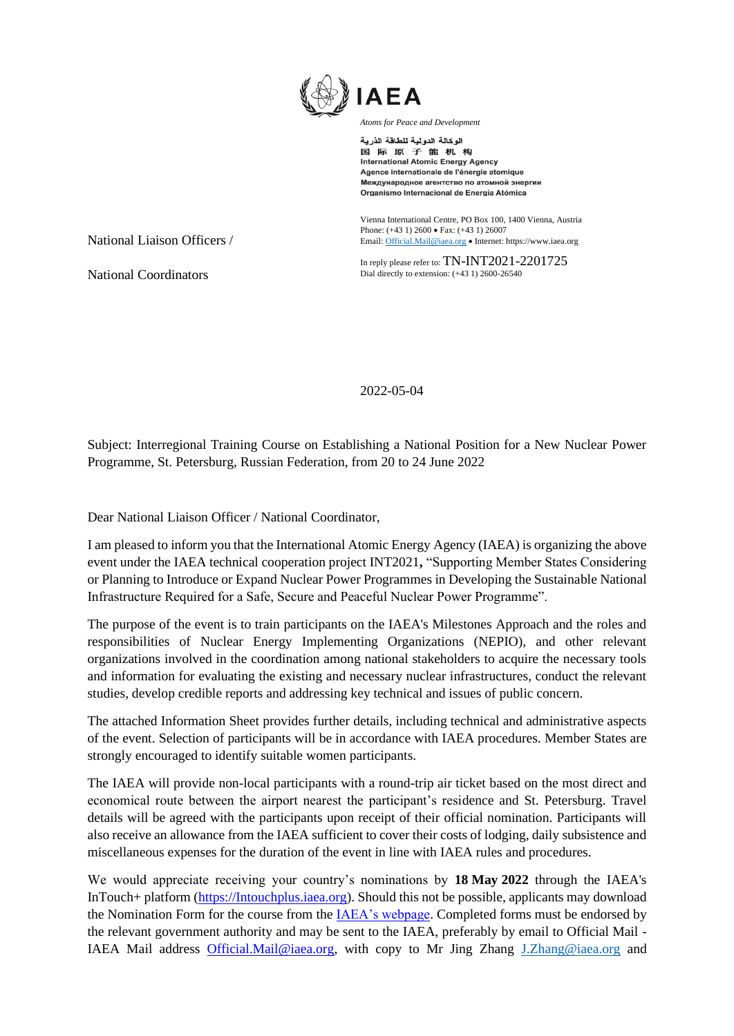

الوكالة الدولية للطاقة الذرية 国际原子能机构 **International Atomic Energy Agency** Agence internationale de l'énergie atomique Международное агентство по атомной энергии Organismo Internacional de Energía Atómica

Vienna International Centre, PO Box 100, 1400 Vienna, Austria Phone: (+43 1) 2600 • Fax: (+43 1) 26007 Email[: Official.Mail@iaea.org](mailto:official.mail@iaea.org) • Internet[: https://www.iaea.org](https://www.iaea.org/)

In reply please refer to: TN-INT2021-2201725 Dial directly to extension: (+43 1) 2600-26540

National Liaison Officers /

National Coordinators

2022-05-04

Subject: Interregional Training Course on Establishing a National Position for a New Nuclear Power Programme, St. Petersburg, Russian Federation, from 20 to 24 June 2022

Dear National Liaison Officer / National Coordinator,

I am pleased to inform you that the International Atomic Energy Agency (IAEA) is organizing the above event under the IAEA technical cooperation project INT2021**,** "Supporting Member States Considering or Planning to Introduce or Expand Nuclear Power Programmes in Developing the Sustainable National Infrastructure Required for a Safe, Secure and Peaceful Nuclear Power Programme".

The purpose of the event is to train participants on the IAEA's Milestones Approach and the roles and responsibilities of Nuclear Energy Implementing Organizations (NEPIO), and other relevant organizations involved in the coordination among national stakeholders to acquire the necessary tools and information for evaluating the existing and necessary nuclear infrastructures, conduct the relevant studies, develop credible reports and addressing key technical and issues of public concern.

The attached Information Sheet provides further details, including technical and administrative aspects of the event. Selection of participants will be in accordance with IAEA procedures. Member States are strongly encouraged to identify suitable women participants.

The IAEA will provide non-local participants with a round-trip air ticket based on the most direct and economical route between the airport nearest the participant's residence and St. Petersburg. Travel details will be agreed with the participants upon receipt of their official nomination. Participants will also receive an allowance from the IAEA sufficient to cover their costs of lodging, daily subsistence and miscellaneous expenses for the duration of the event in line with IAEA rules and procedures.

We would appreciate receiving your country's nominations by **18 May 2022** through the IAEA's InTouch+ platform [\(https://Intouchplus.iaea.org\)](https://intouchplus.iaea.org/). Should this not be possible, applicants may download the Nomination Form for the course from th[e IAEA's webpage.](https://www.iaea.org/services/technical-cooperation-programme/how-to-participate) Completed forms must be endorsed by the relevant government authority and may be sent to the IAEA, preferably by email to Official Mail - IAEA Mail address [Official.Mail@iaea.org,](mailto:Official.Mail@iaea.org) with copy to Mr Jing Zhang [J.Zhang@iaea.org](mailto:J.Zhang@iaea.org) and